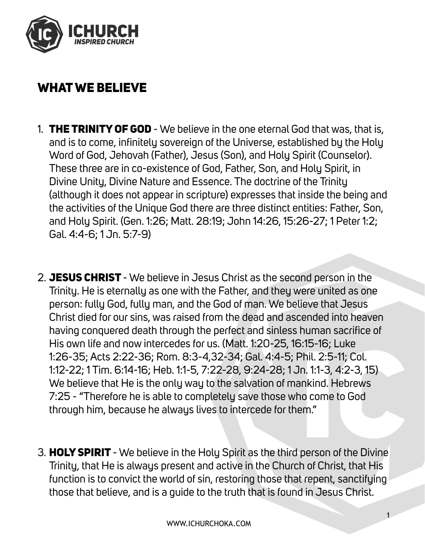

## WHAT WE BELIEVE

- 1. THE TRINITY OF GOD We believe in the one eternal God that was, that is, and is to come, infinitely sovereign of the Universe, established by the Holy Word of God, Jehovah (Father), Jesus (Son), and Holy Spirit (Counselor). These three are in co-existence of God, Father, Son, and Holy Spirit, in Divine Unity, Divine Nature and Essence. The doctrine of the Trinity (although it does not appear in scripture) expresses that inside the being and the activities of the Unique God there are three distinct entities: Father, Son, and Holy Spirit. (Gen. 1:26; Matt. 28:19; John 14:26, 15:26-27; 1 Peter 1:2; Gal. 4:4-6; 1 Jn. 5:7-9)
- 2. JESUS CHRIST We believe in Jesus Christ as the second person in the Trinity. He is eternally as one with the Father, and they were united as one person: fully God, fully man, and the God of man. We believe that Jesus Christ died for our sins, was raised from the dead and ascended into heaven having conquered death through the perfect and sinless human sacrifice of His own life and now intercedes for us. (Matt. 1:20-25, 16:15-16; Luke 1:26-35; Acts 2:22-36; Rom. 8:3-4,32-34; Gal. 4:4-5; Phil. 2:5-11; Col. 1:12-22; 1 Tim. 6:14-16; Heb. 1:1-5, 7:22-28, 9:24-28; 1 Jn. 1:1-3, 4:2-3, 15) We believe that He is the only way to the salvation of mankind. Hebrews 7:25 - "Therefore he is able to completely save those who come to God through him, because he always lives to intercede for them."
- 3. HOLY SPIRIT We believe in the Holy Spirit as the third person of the Divine Trinity, that He is always present and active in the Church of Christ, that His function is to convict the world of sin, restoring those that repent, sanctifying those that believe, and is a guide to the truth that is found in Jesus Christ.

1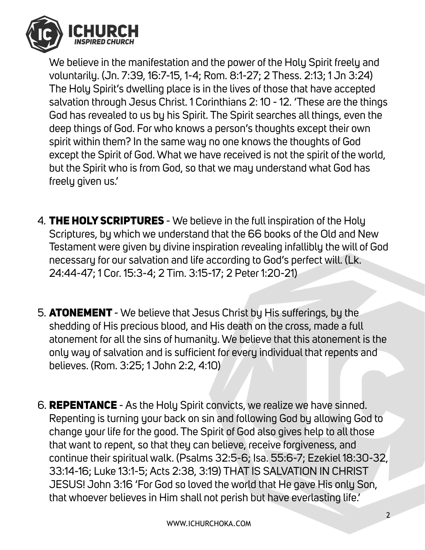

We believe in the manifestation and the power of the Holy Spirit freely and voluntarily. (Jn. 7:39, 16:7-15, 1-4; Rom. 8:1-27; 2 Thess. 2:13; 1 Jn 3:24) The Holy Spirit's dwelling place is in the lives of those that have accepted salvation through Jesus Christ. 1 Corinthians 2: 10 - 12. 'These are the things God has revealed to us by his Spirit. The Spirit searches all things, even the deep things of God. For who knows a person's thoughts except their own spirit within them? In the same way no one knows the thoughts of God except the Spirit of God. What we have received is not the spirit of the world, but the Spirit who is from God, so that we may understand what God has freely given us.'

- 4. **THE HOLY SCRIPTURES** We believe in the full inspiration of the Holy Scriptures, by which we understand that the 66 books of the Old and New Testament were given by divine inspiration revealing infallibly the will of God necessary for our salvation and life according to God's perfect will. (Lk. 24:44-47; 1 Cor. 15:3-4; 2 Tim. 3:15-17; 2 Peter 1:20-21)
- 5. ATONEMENT We believe that Jesus Christ by His sufferings, by the shedding of His precious blood, and His death on the cross, made a full atonement for all the sins of humanity. We believe that this atonement is the only way of salvation and is sufficient for every individual that repents and believes. (Rom. 3:25; 1 John 2:2, 4:10)
- 6. REPENTANCE As the Holy Spirit convicts, we realize we have sinned. Repenting is turning your back on sin and following God by allowing God to change your life for the good. The Spirit of God also gives help to all those that want to repent, so that they can believe, receive forgiveness, and continue their spiritual walk. (Psalms 32:5-6; Isa. 55:6-7; Ezekiel 18:30-32, 33:14-16; Luke 13:1-5; Acts 2:38, 3:19) THAT IS SALVATION IN CHRIST JESUS! John 3:16 'For God so loved the world that He gave His only Son, that whoever believes in Him shall not perish but have everlasting life.'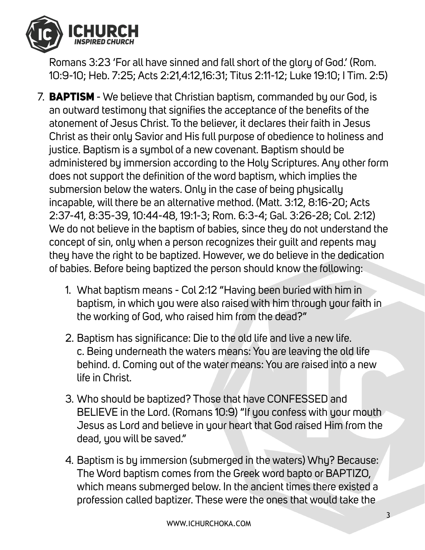

Romans 3:23 'For all have sinned and fall short of the glory of God.' (Rom. 10:9-10; Heb. 7:25; Acts 2:21,4:12,16:31; Titus 2:11-12; Luke 19:10; I Tim. 2:5)

- 7. **BAPTISM** We believe that Christian baptism, commanded by our God, is an outward testimony that signifies the acceptance of the benefits of the atonement of Jesus Christ. To the believer, it declares their faith in Jesus Christ as their only Savior and His full purpose of obedience to holiness and justice. Baptism is a symbol of a new covenant. Baptism should be administered by immersion according to the Holy Scriptures. Any other form does not support the definition of the word baptism, which implies the submersion below the waters. Only in the case of being physically incapable, will there be an alternative method. (Matt. 3:12, 8:16-20; Acts 2:37-41, 8:35-39, 10:44-48, 19:1-3; Rom. 6:3-4; Gal. 3:26-28; Col. 2:12) We do not believe in the baptism of babies, since they do not understand the concept of sin, only when a person recognizes their guilt and repents may they have the right to be baptized. However, we do believe in the dedication of babies. Before being baptized the person should know the following:
	- 1. What baptism means Col 2:12 "Having been buried with him in baptism, in which you were also raised with him through your faith in the working of God, who raised him from the dead?"
	- 2. Baptism has significance: Die to the old life and live a new life. c. Being underneath the waters means: You are leaving the old life behind. d. Coming out of the water means: You are raised into a new life in Christ.
	- 3. Who should be baptized? Those that have CONFESSED and BELIEVE in the Lord. (Romans 10:9) "If you confess with your mouth Jesus as Lord and believe in your heart that God raised Him from the dead, you will be saved."
	- 4. Baptism is by immersion (submerged in the waters) Why? Because: The Word baptism comes from the Greek word bapto or BAPTIZO, which means submerged below. In the ancient times there existed a profession called baptizer. These were the ones that would take the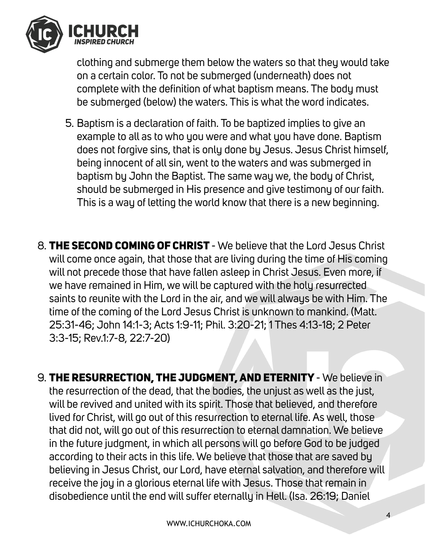

clothing and submerge them below the waters so that they would take on a certain color. To not be submerged (underneath) does not complete with the definition of what baptism means. The body must be submerged (below) the waters. This is what the word indicates.

- 5. Baptism is a declaration of faith. To be baptized implies to give an example to all as to who you were and what you have done. Baptism does not forgive sins, that is only done by Jesus. Jesus Christ himself, being innocent of all sin, went to the waters and was submerged in baptism by John the Baptist. The same way we, the body of Christ, should be submerged in His presence and give testimony of our faith. This is a way of letting the world know that there is a new beginning.
- 8. THE SECOND COMING OF CHRIST We believe that the Lord Jesus Christ will come once again, that those that are living during the time of His coming will not precede those that have fallen asleep in Christ Jesus. Even more, if we have remained in Him, we will be captured with the holy resurrected saints to reunite with the Lord in the air, and we will always be with Him. The time of the coming of the Lord Jesus Christ is unknown to mankind. (Matt. 25:31-46; John 14:1-3; Acts 1:9-11; Phil. 3:20-21; 1 Thes 4:13-18; 2 Peter 3:3-15; Rev.1:7-8, 22:7-20)
- 9. THE RESURRECTION, THE JUDGMENT, AND ETERNITY We believe in the resurrection of the dead, that the bodies, the unjust as well as the just, will be revived and united with its spirit. Those that believed, and therefore lived for Christ, will go out of this resurrection to eternal life. As well, those that did not, will go out of this resurrection to eternal damnation. We believe in the future judgment, in which all persons will go before God to be judged according to their acts in this life. We believe that those that are saved by believing in Jesus Christ, our Lord, have eternal salvation, and therefore will receive the joy in a glorious eternal life with Jesus. Those that remain in disobedience until the end will suffer eternally in Hell. (Isa. 26:19; Daniel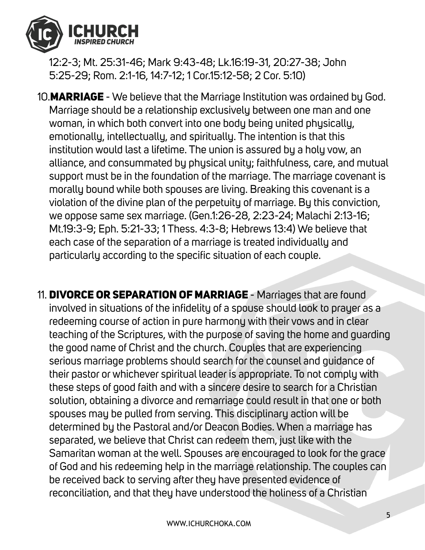

12:2-3; Mt. 25:31-46; Mark 9:43-48; Lk.16:19-31, 20:27-38; John 5:25-29; Rom. 2:1-16, 14:7-12; 1 Cor.15:12-58; 2 Cor. 5:10)

10.**MARRIAGE** - We believe that the Marriage Institution was ordained by God. Marriage should be a relationship exclusively between one man and one woman, in which both convert into one body being united physically, emotionally, intellectually, and spiritually. The intention is that this institution would last a lifetime. The union is assured by a holy vow, an alliance, and consummated by physical unity; faithfulness, care, and mutual support must be in the foundation of the marriage. The marriage covenant is morally bound while both spouses are living. Breaking this covenant is a violation of the divine plan of the perpetuity of marriage. By this conviction, we oppose same sex marriage. (Gen.1:26-28, 2:23-24; Malachi 2:13-16; Mt.19:3-9; Eph. 5:21-33; 1 Thess. 4:3-8; Hebrews 13:4) We believe that each case of the separation of a marriage is treated individually and particularly according to the specific situation of each couple.

11. **DIVORCE OR SEPARATION OF MARRIAGE** - Marriages that are found involved in situations of the infidelity of a spouse should look to prayer as a redeeming course of action in pure harmony with their vows and in clear teaching of the Scriptures, with the purpose of saving the home and guarding the good name of Christ and the church. Couples that are experiencing serious marriage problems should search for the counsel and guidance of their pastor or whichever spiritual leader is appropriate. To not comply with these steps of good faith and with a sincere desire to search for a Christian solution, obtaining a divorce and remarriage could result in that one or both spouses may be pulled from serving. This disciplinary action will be determined by the Pastoral and/or Deacon Bodies. When a marriage has separated, we believe that Christ can redeem them, just like with the Samaritan woman at the well. Spouses are encouraged to look for the grace of God and his redeeming help in the marriage relationship. The couples can be received back to serving after they have presented evidence of reconciliation, and that they have understood the holiness of a Christian